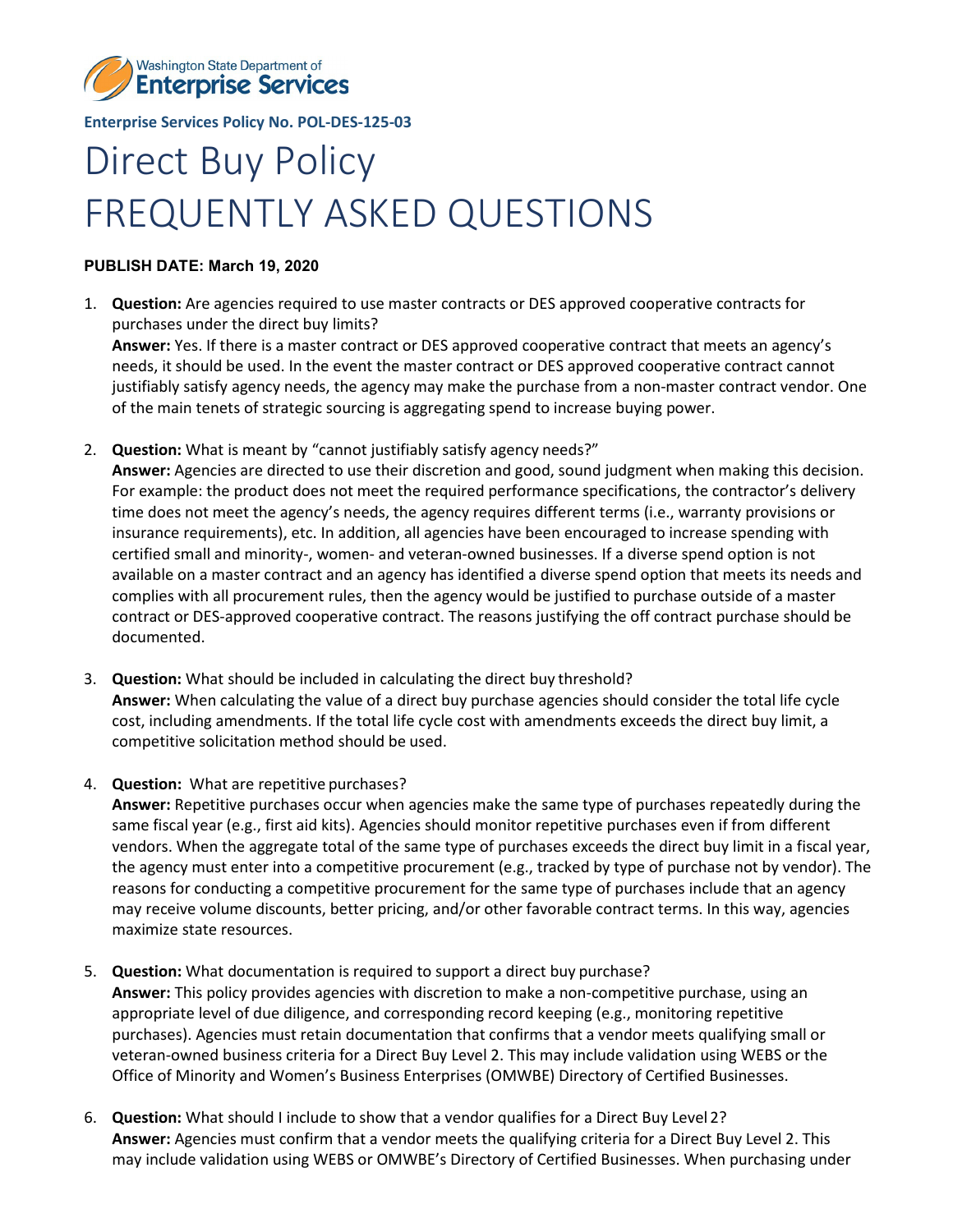

**Enterprise Services Policy No. POL-DES-125-03**

## Direct Buy Policy FREQUENTLY ASKED QUESTIONS

## **PUBLISH DATE: March 19, 2020**

- 1. **Question:** Are agencies required to use master contracts or DES approved cooperative contracts for purchases under the direct buy limits? **Answer:** Yes. If there is a master contract or DES approved cooperative contract that meets an agency's needs, it should be used. In the event the master contract or DES approved cooperative contract cannot justifiably satisfy agency needs, the agency may make the purchase from a non-master contract vendor. One of the main tenets of strategic sourcing is aggregating spend to increase buying power.
- 2. **Question:** What is meant by "cannot justifiably satisfy agency needs?"

**Answer:** Agencies are directed to use their discretion and good, sound judgment when making this decision. For example: the product does not meet the required performance specifications, the contractor's delivery time does not meet the agency's needs, the agency requires different terms (i.e., warranty provisions or insurance requirements), etc. In addition, all agencies have been encouraged to increase spending with certified small and minority-, women- and veteran-owned businesses. If a diverse spend option is not available on a master contract and an agency has identified a diverse spend option that meets its needs and complies with all procurement rules, then the agency would be justified to purchase outside of a master contract or DES-approved cooperative contract. The reasons justifying the off contract purchase should be documented.

- 3. **Question:** What should be included in calculating the direct buy threshold? **Answer:** When calculating the value of a direct buy purchase agencies should consider the total life cycle cost, including amendments. If the total life cycle cost with amendments exceeds the direct buy limit, a competitive solicitation method should be used.
- 4. **Question:** What are repetitive purchases? **Answer:** Repetitive purchases occur when agencies make the same type of purchases repeatedly during the same fiscal year (e.g., first aid kits). Agencies should monitor repetitive purchases even if from different vendors. When the aggregate total of the same type of purchases exceeds the direct buy limit in a fiscal year, the agency must enter into a competitive procurement (e.g., tracked by type of purchase not by vendor). The reasons for conducting a competitive procurement for the same type of purchases include that an agency may receive volume discounts, better pricing, and/or other favorable contract terms. In this way, agencies maximize state resources.
- 5. **Question:** What documentation is required to support a direct buy purchase? **Answer:** This policy provides agencies with discretion to make a non-competitive purchase, using an appropriate level of due diligence, and corresponding record keeping (e.g., monitoring repetitive purchases). Agencies must retain documentation that confirms that a vendor meets qualifying small or veteran-owned business criteria for a Direct Buy Level 2. This may include validation using WEBS or the Office of Minority and Women's Business Enterprises (OMWBE) Directory of Certified Businesses.
- 6. **Question:** What should I include to show that a vendor qualifies for a Direct Buy Level 2? **Answer:** Agencies must confirm that a vendor meets the qualifying criteria for a Direct Buy Level 2. This may include validation using WEBS or OMWBE's Directory of Certified Businesses. When purchasing under